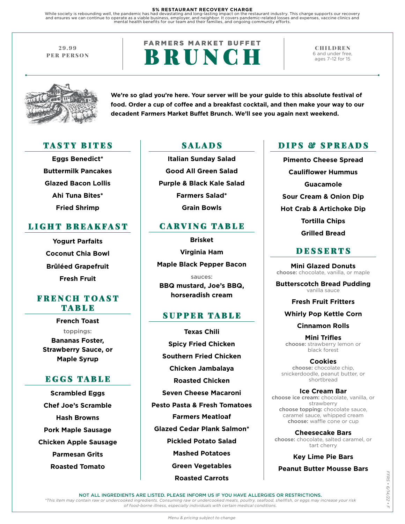5% RESTAURANT RECOVERY CHARGE<br>While society is rebounding well, the pandemic has had devastating and long-lasting impact on the restaurant industry. This charge supports our recovery<br>and ensures we can continue to operate

29.99 PER PERSON

# **FARMERS MARKET BUFFET** BRUNCH

CHILDREN 6 and under free, ages 7–12 for 15



**We're so glad you're here. Your server will be your guide to this absolute festival of food. Order a cup of coffee and a breakfast cocktail, and then make your way to our decadent Farmers Market Buffet Brunch. We'll see you again next weekend.**

### TASTY BITES SALADS

**Eggs Benedict\* Buttermilk Pancakes Glazed Bacon Lollis Ahi Tuna Bites\* Fried Shrimp**

## LIGHT BREAKFAST

**Yogurt Parfaits Coconut Chia Bowl Brûléed Grapefruit Fresh Fruit** 

### FRENCH TOAST TABLE

**French Toast** toppings: **Bananas Foster, Strawberry Sauce, or Maple Syrup**

## EGGS TABLE

**Scrambled Eggs Chef Joe's Scramble Hash Browns Pork Maple Sausage Chicken Apple Sausage Parmesan Grits Roasted Tomato**

**Italian Sunday Salad Good All Green Salad Purple & Black Kale Salad Farmers Salad\* Grain Bowls**

### CARVING TABLE

**Brisket Virginia Ham Maple Black Pepper Bacon**

sauces: **BBQ mustard, Joe's BBQ, horseradish cream** 

### SUPPER TABLE

**Texas Chili Spicy Fried Chicken Southern Fried Chicken Chicken Jambalaya Roasted Chicken Seven Cheese Macaroni Pesto Pasta & Fresh Tomatoes Farmers Meatloaf Glazed Cedar Plank Salmon\* Pickled Potato Salad Mashed Potatoes Green Vegetables Roasted Carrots**

### DIPS & SPREADS

**Pimento Cheese Spread Cauliflower Hummus Guacamole Sour Cream & Onion Dip Hot Crab & Artichoke Dip Tortilla Chips Grilled Bread**

### DESSERTS

**Mini Glazed Donuts**  choose: chocolate, vanilla, or maple

**Butterscotch Bread Pudding**  vanilla sauce

**Fresh Fruit Fritters**

**Whirly Pop Kettle Corn**

**Cinnamon Rolls**

**Mini Trifles**  choose: strawberry lemon or black forest

**Cookies** choose: chocolate chip, snickerdoodle, peanut butter, or shortbread

**Ice Cream Bar**  choose ice cream: chocolate, vanilla, or strawberry choose topping: chocolate sauce, caramel sauce, whipped cream choose: waffle cone or cup

**Cheesecake Bars**  choose: chocolate, salted caramel, or tart cherry

**Key Lime Pie Bars**

**Peanut Butter Mousse Bars**

NOT ALL INGREDIENTS ARE LISTED. PLEASE INFORM US IF YOU HAVE ALLERGIES OR RESTRICTIONS.

*\*This item may contain raw or undercooked ingredients. Consuming raw or undercooked meats, poultry, seafood, shellfish, or eggs may increase your risk of food-borne illness, especially individuals with certain medical conditions.*